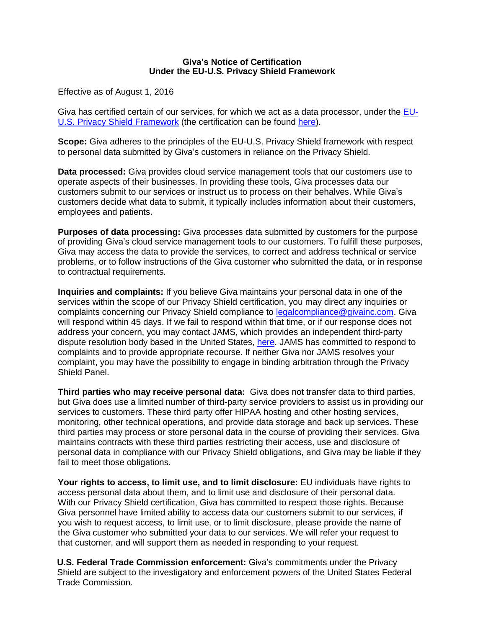## **Giva's Notice of Certification Under the EU-U.S. Privacy Shield Framework**

Effective as of August 1, 2016

Giva has certified certain of our services, for which we act as a data processor, under the [EU-](https://www.privacyshield.gov/)[U.S. Privacy Shield Framework](https://www.privacyshield.gov/) (the certification can be found [here\)](https://www.privacyshield.gov/participant?id=a2zt0000000KzXBAA0).

**Scope:** Giva adheres to the principles of the EU-U.S. Privacy Shield framework with respect to personal data submitted by Giva's customers in reliance on the Privacy Shield.

**Data processed:** Giva provides cloud service management tools that our customers use to operate aspects of their businesses. In providing these tools, Giva processes data our customers submit to our services or instruct us to process on their behalves. While Giva's customers decide what data to submit, it typically includes information about their customers, employees and patients.

**Purposes of data processing:** Giva processes data submitted by customers for the purpose of providing Giva's cloud service management tools to our customers. To fulfill these purposes, Giva may access the data to provide the services, to correct and address technical or service problems, or to follow instructions of the Giva customer who submitted the data, or in response to contractual requirements.

**Inquiries and complaints:** If you believe Giva maintains your personal data in one of the services within the scope of our Privacy Shield certification, you may direct any inquiries or complaints concerning our Privacy Shield compliance to [legalcompliance@givainc.com.](mailto:legalcompliance@givainc.com) Giva will respond within 45 days. If we fail to respond within that time, or if our response does not address your concern, you may contact JAMS, which provides an independent third-party dispute resolution body based in the United States, [here.](https://www.jamsadr.com/eu-us-privacy-shield) JAMS has committed to respond to complaints and to provide appropriate recourse. If neither Giva nor JAMS resolves your complaint, you may have the possibility to engage in binding arbitration through the Privacy Shield Panel.

**Third parties who may receive personal data:** Giva does not transfer data to third parties, but Giva does use a limited number of third-party service providers to assist us in providing our services to customers. These third party offer HIPAA hosting and other hosting services, monitoring, other technical operations, and provide data storage and back up services. These third parties may process or store personal data in the course of providing their services. Giva maintains contracts with these third parties restricting their access, use and disclosure of personal data in compliance with our Privacy Shield obligations, and Giva may be liable if they fail to meet those obligations.

**Your rights to access, to limit use, and to limit disclosure:** EU individuals have rights to access personal data about them, and to limit use and disclosure of their personal data. With our Privacy Shield certification, Giva has committed to respect those rights. Because Giva personnel have limited ability to access data our customers submit to our services, if you wish to request access, to limit use, or to limit disclosure, please provide the name of the Giva customer who submitted your data to our services. We will refer your request to that customer, and will support them as needed in responding to your request.

**U.S. Federal Trade Commission enforcement:** Giva's commitments under the Privacy Shield are subject to the investigatory and enforcement powers of the United States Federal Trade Commission.